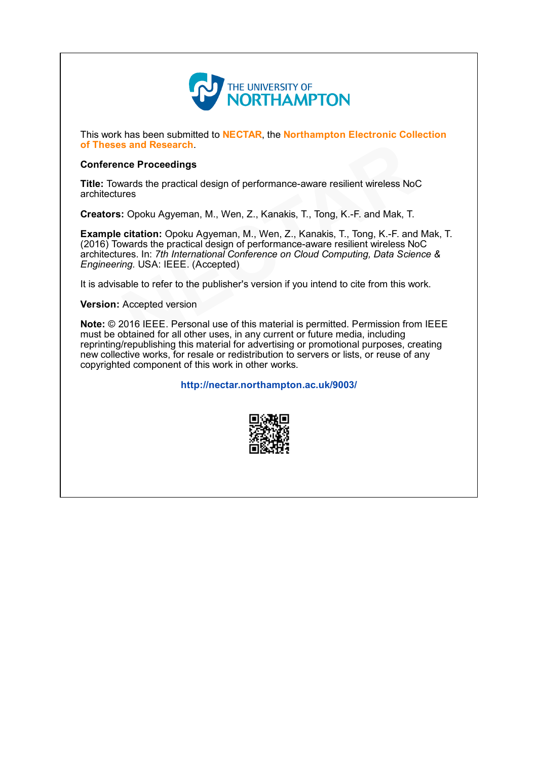

This work has been submitted to NECTAR, the Northampton Electronic Collection of Theses and Research.

## Conference Proceedings

Title: Towards the practical design of performance-aware resilient wireless NoC architectures

Creators: Opoku Agyeman, M., Wen, Z., Kanakis, T., Tong, K.F. and Mak, T.

Example citation: Opoku Agyeman, M., Wen, Z., Kanakis, T., Tong, K.-F. and Mak, T. (2016) Towards the practical design of performance-aware resilient wireless NoC architectures. In: 7th International Conference on Cloud Computing, Data Science & Engineering. USA: IEEE. (Accepted) **s and Research**.<br> **S and Research**.<br>
Accordings<br>
Wards the practical design of performance-aware resilient wireless NoC<br>
Ires<br>
2. Opoku Agyeman, M., Wen, Z., Kanakis, T., Tong, K.-F. and Mak, T.<br> **Citation:** Opoku Agyeman

It is advisable to refer to the publisher's version if you intend to cite from this work.

Version: Accepted version

Note: © 2016 IEEE. Personal use of this material is permitted. Permission from IEEE must be obtained for all other uses, in any current or future media, including reprinting/republishing this material for advertising or promotional purposes, creating new collective works, for resale or redistribution to servers or lists, or reuse of any copyrighted component of this work in other works.

<http://nectar.northampton.ac.uk/9003/>

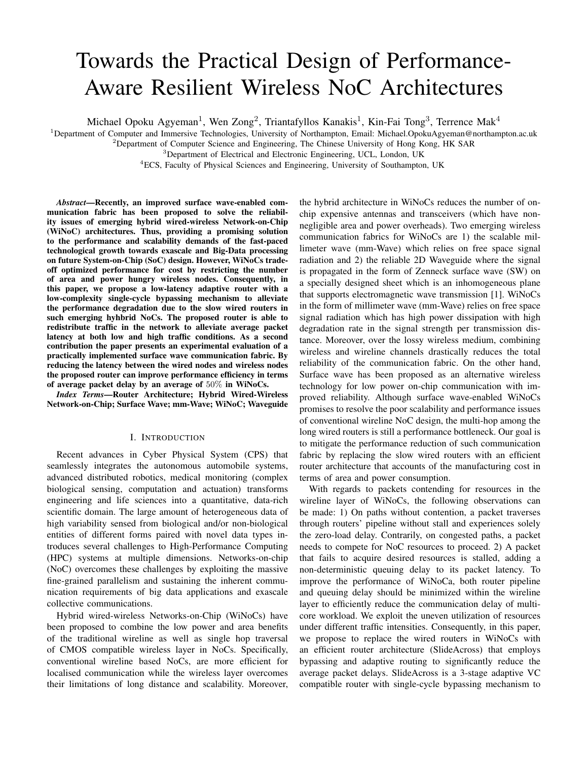# Towards the Practical Design of Performance-Aware Resilient Wireless NoC Architectures

Michael Opoku Agyeman<sup>1</sup>, Wen Zong<sup>2</sup>, Triantafyllos Kanakis<sup>1</sup>, Kin-Fai Tong<sup>3</sup>, Terrence Mak<sup>4</sup>

<sup>1</sup>Department of Computer and Immersive Technologies, University of Northampton, Email: Michael.OpokuAgyeman@northampton.ac.uk

<sup>2</sup>Department of Computer Science and Engineering, The Chinese University of Hong Kong, HK SAR

<sup>3</sup>Department of Electrical and Electronic Engineering, UCL, London, UK

<sup>4</sup>ECS, Faculty of Physical Sciences and Engineering, University of Southampton, UK

*Abstract*—Recently, an improved surface wave-enabled communication fabric has been proposed to solve the reliability issues of emerging hybrid wired-wireless Network-on-Chip (WiNoC) architectures. Thus, providing a promising solution to the performance and scalability demands of the fast-paced technological growth towards exascale and Big-Data processing on future System-on-Chip (SoC) design. However, WiNoCs tradeoff optimized performance for cost by restricting the number of area and power hungry wireless nodes. Consequently, in this paper, we propose a low-latency adaptive router with a low-complexity single-cycle bypassing mechanism to alleviate the performance degradation due to the slow wired routers in such emerging hyhbrid NoCs. The proposed router is able to redistribute traffic in the network to alleviate average packet latency at both low and high traffic conditions. As a second contribution the paper presents an experimental evaluation of a practically implemented surface wave communication fabric. By reducing the latency between the wired nodes and wireless nodes the proposed router can improve performance efficiency in terms of average packet delay by an average of 50% in WiNoCs.

*Index Terms*—Router Architecture; Hybrid Wired-Wireless Network-on-Chip; Surface Wave; mm-Wave; WiNoC; Waveguide

## I. INTRODUCTION

Recent advances in Cyber Physical System (CPS) that seamlessly integrates the autonomous automobile systems, advanced distributed robotics, medical monitoring (complex biological sensing, computation and actuation) transforms engineering and life sciences into a quantitative, data-rich scientific domain. The large amount of heterogeneous data of high variability sensed from biological and/or non-biological entities of different forms paired with novel data types introduces several challenges to High-Performance Computing (HPC) systems at multiple dimensions. Networks-on-chip (NoC) overcomes these challenges by exploiting the massive fine-grained parallelism and sustaining the inherent communication requirements of big data applications and exascale collective communications.

Hybrid wired-wireless Networks-on-Chip (WiNoCs) have been proposed to combine the low power and area benefits of the traditional wireline as well as single hop traversal of CMOS compatible wireless layer in NoCs. Specifically, conventional wireline based NoCs, are more efficient for localised communication while the wireless layer overcomes their limitations of long distance and scalability. Moreover, the hybrid architecture in WiNoCs reduces the number of onchip expensive antennas and transceivers (which have nonnegligible area and power overheads). Two emerging wireless communication fabrics for WiNoCs are 1) the scalable millimeter wave (mm-Wave) which relies on free space signal radiation and 2) the reliable 2D Waveguide where the signal is propagated in the form of Zenneck surface wave (SW) on a specially designed sheet which is an inhomogeneous plane that supports electromagnetic wave transmission [1]. WiNoCs in the form of millimeter wave (mm-Wave) relies on free space signal radiation which has high power dissipation with high degradation rate in the signal strength per transmission distance. Moreover, over the lossy wireless medium, combining wireless and wireline channels drastically reduces the total reliability of the communication fabric. On the other hand, Surface wave has been proposed as an alternative wireless technology for low power on-chip communication with improved reliability. Although surface wave-enabled WiNoCs promises to resolve the poor scalability and performance issues of conventional wireline NoC design, the multi-hop among the long wired routers is still a performance bottleneck. Our goal is to mitigate the performance reduction of such communication fabric by replacing the slow wired routers with an efficient router architecture that accounts of the manufacturing cost in terms of area and power consumption.

With regards to packets contending for resources in the wireline layer of WiNoCs, the following observations can be made: 1) On paths without contention, a packet traverses through routers' pipeline without stall and experiences solely the zero-load delay. Contrarily, on congested paths, a packet needs to compete for NoC resources to proceed. 2) A packet that fails to acquire desired resources is stalled, adding a non-deterministic queuing delay to its packet latency. To improve the performance of WiNoCa, both router pipeline and queuing delay should be minimized within the wireline layer to efficiently reduce the communication delay of multicore workload. We exploit the uneven utilization of resources under different traffic intensities. Consequently, in this paper, we propose to replace the wired routers in WiNoCs with an efficient router architecture (SlideAcross) that employs bypassing and adaptive routing to significantly reduce the average packet delays. SlideAcross is a 3-stage adaptive VC compatible router with single-cycle bypassing mechanism to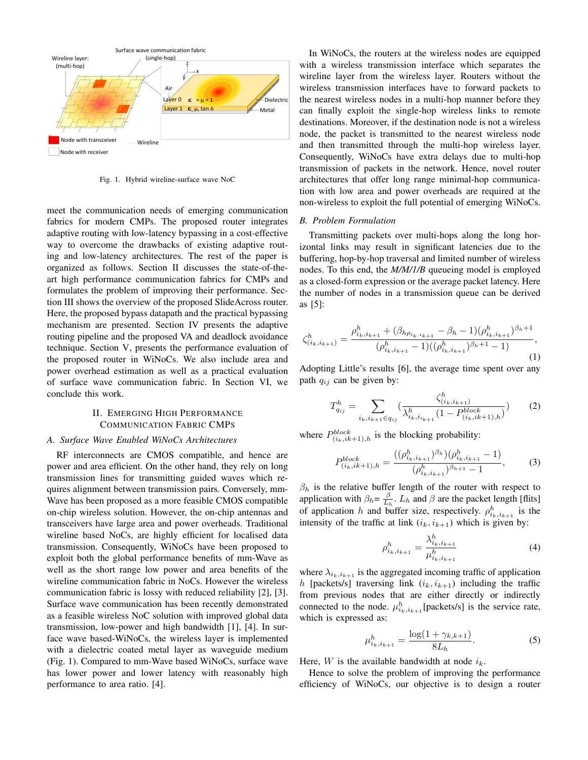

Fig. 1. Hybrid wireline-surface wave NoC

meet the communication needs of emerging communication fabrics for modern CMPs. The proposed router integrates adaptive routing with low-latency bypassing in a cost-effective way to overcome the drawbacks of existing adaptive routing and low-latency architectures. The rest of the paper is organized as follows. Section II discusses the state-of-theart high performance communication fabrics for CMPs and formulates the problem of improving their performance. Section III shows the overview of the proposed SlideAcross router. Here, the proposed bypass datapath and the practical bypassing mechanism are presented. Section IV presents the adaptive routing pipeline and the proposed VA and deadlock avoidance technique. Section V, presents the performance evaluation of the proposed router in WiNoCs. We also include area and power overhead estimation as well as a practical evaluation of surface wave communication fabric. In Section VI, we conclude this work.

## II. EMERGING HIGH PERFORMANCE COMMUNICATION FABRIC CMPS

## *A. Surface Wave Enabled WiNoCs Architectures*

RF interconnects are CMOS compatible, and hence are power and area efficient. On the other hand, they rely on long transmission lines for transmitting guided waves which requires alignment between transmission pairs. Conversely, mm-Wave has been proposed as a more feasible CMOS compatible on-chip wireless solution. However, the on-chip antennas and transceivers have large area and power overheads. Traditional wireline based NoCs, are highly efficient for localised data transmission. Consequently, WiNoCs have been proposed to exploit both the global performance benefits of mm-Wave as well as the short range low power and area benefits of the wireline communication fabric in NoCs. However the wireless communication fabric is lossy with reduced reliability [2], [3]. Surface wave communication has been recently demonstrated as a feasible wireless NoC solution with improved global data transmission, low-power and high bandwidth [1], [4]. In surface wave based-WiNoCs, the wireless layer is implemented with a dielectric coated metal layer as waveguide medium (Fig. 1). Compared to mm-Wave based WiNoCs, surface wave has lower power and lower latency with reasonably high performance to area ratio. [4].

In WiNoCs, the routers at the wireless nodes are equipped with a wireless transmission interface which separates the wireline layer from the wireless layer. Routers without the wireless transmission interfaces have to forward packets to the nearest wireless nodes in a multi-hop manner before they can finally exploit the single-hop wireless links to remote destinations. Moreover, if the destination node is not a wireless node, the packet is transmitted to the nearest wireless node and then transmitted through the multi-hop wireless layer. Consequently, WiNoCs have extra delays due to multi-hop transmission of packets in the network. Hence, novel router architectures that offer long range minimal-hop communication with low area and power overheads are required at the non-wireless to exploit the full potential of emerging WiNoCs.

## *B. Problem Formulation*

Transmitting packets over multi-hops along the long horizontal links may result in significant latencies due to the buffering, hop-by-hop traversal and limited number of wireless nodes. To this end, the *M/M/1/B* queueing model is employed as a closed-form expression or the average packet latency. Here the number of nodes in a transmission queue can be derived as [5]:

$$
\zeta_{(i_k,i_{k+1})}^h = \frac{\rho_{i_k,i_{k+1}}^h + (\beta_{h\rho_{i_k,i_{k+1}}} - \beta_h - 1)(\rho_{i_k,i_{k+1}}^h)^{\beta_h+1}}{(\rho_{i_k,i_{k+1}}^h - 1)((\rho_{i_k,i_{k+1}}^h)^{\beta_h+1} - 1)},
$$
\n(1)

Adopting Little's results [6], the average time spent over any path  $q_{ij}$  can be given by:

$$
T_{q_{ij}}^h = \sum_{i_k, i_{k+1} \in q_{ij}} \left( \frac{\zeta_{(i_k, i_{k+1})}^h}{\lambda_{i_k, i_{i_{k+1}}}^h (1 - P_{(i_k, i_{k+1}), h}^{block})} \right) \tag{2}
$$

where  $P_{(i_k, ik+1),h}^{block}$  is the blocking probability:

$$
P_{(i_k,ik+1),h}^{block} = \frac{((\rho_{i_k,i_{k+1}}^h)^{\beta_h})(\rho_{i_k,i_{k+1}}^h - 1)}{(\rho_{i_k,i_{k+1}}^h)^{\beta_{h+1}} - 1},
$$
 (3)

 $\beta_h$  is the relative buffer length of the router with respect to application with  $\beta_h = \frac{\beta}{L_h}$ .  $L_h$  and  $\beta$  are the packet length [flits] of application h and buffer size, respectively.  $\rho_{i_k,i_{k+1}}^h$  is the intensity of the traffic at link  $(i_k, i_{k+1})$  which is given by:

$$
\rho_{i_k, i_{k+1}}^h = \frac{\lambda_{i_k, i_{k+1}}^h}{\mu_{i_k, i_{k+1}}^h} \tag{4}
$$

where  $\lambda_{i_k,i_{k+1}}$  is the aggregated incoming traffic of application h [packets/s] traversing link  $(i_k, i_{k+1})$  including the traffic from previous nodes that are either directly or indirectly connected to the node.  $\mu_{i_k,i_{k+1}}^h$  [packets/s] is the service rate, which is expressed as:

$$
\mu_{i_k, i_{k+1}}^h = \frac{\log(1 + \gamma_{k,k+1})}{8L_h}.
$$
\n(5)

Here, W is the available bandwidth at node  $i_k$ .

Hence to solve the problem of improving the performance efficiency of WiNoCs, our objective is to design a router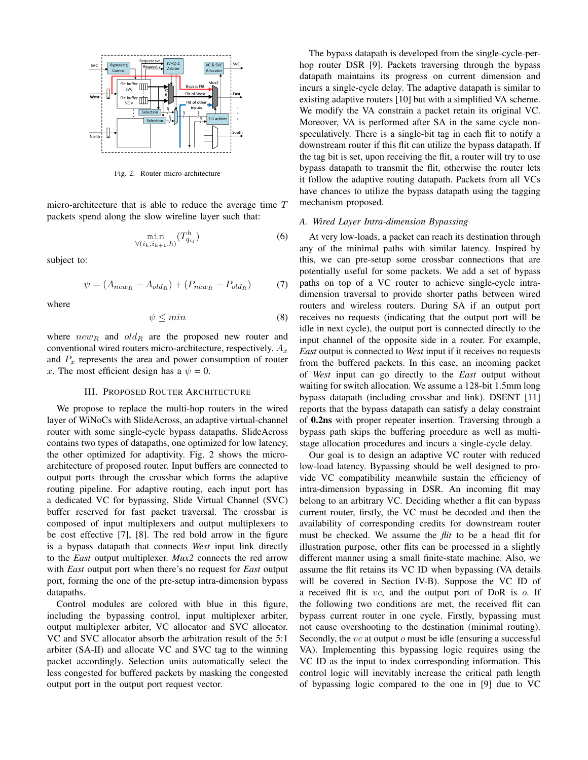

Fig. 2. Router micro-architecture

micro-architecture that is able to reduce the average time T packets spend along the slow wireline layer such that:

$$
\min_{\forall (i_k, i_{k+1}, h)} (T_{q_{ij}}^h)
$$
\n(6)

subject to:

$$
\psi = (A_{new_R} - A_{old_R}) + (P_{new_R} - P_{old_R})
$$
(7)

where

$$
\psi \le \min \tag{8}
$$

where  $new_R$  and  $old_R$  are the proposed new router and conventional wired routers micro-architecture, respectively.  $A_x$ and  $P_x$  represents the area and power consumption of router x. The most efficient design has a  $\psi = 0$ .

#### III. PROPOSED ROUTER ARCHITECTURE

We propose to replace the multi-hop routers in the wired layer of WiNoCs with SlideAcross, an adaptive virtual-channel router with some single-cycle bypass datapaths. SlideAcross contains two types of datapaths, one optimized for low latency, the other optimized for adaptivity. Fig. 2 shows the microarchitecture of proposed router. Input buffers are connected to output ports through the crossbar which forms the adaptive routing pipeline. For adaptive routing, each input port has a dedicated VC for bypassing, Slide Virtual Channel (SVC) buffer reserved for fast packet traversal. The crossbar is composed of input multiplexers and output multiplexers to be cost effective [7], [8]. The red bold arrow in the figure is a bypass datapath that connects *West* input link directly to the *East* output multiplexer. *Mux2* connects the red arrow with *East* output port when there's no request for *East* output port, forming the one of the pre-setup intra-dimension bypass datapaths.

Control modules are colored with blue in this figure, including the bypassing control, input multiplexer arbiter, output multiplexer arbiter, VC allocator and SVC allocator. VC and SVC allocator absorb the arbitration result of the 5:1 arbiter (SA-II) and allocate VC and SVC tag to the winning packet accordingly. Selection units automatically select the less congested for buffered packets by masking the congested output port in the output port request vector.

The bypass datapath is developed from the single-cycle-perhop router DSR [9]. Packets traversing through the bypass datapath maintains its progress on current dimension and incurs a single-cycle delay. The adaptive datapath is similar to existing adaptive routers [10] but with a simplified VA scheme. We modify the VA constrain a packet retain its original VC. Moreover, VA is performed after SA in the same cycle nonspeculatively. There is a single-bit tag in each flit to notify a downstream router if this flit can utilize the bypass datapath. If the tag bit is set, upon receiving the flit, a router will try to use bypass datapath to transmit the flit, otherwise the router lets it follow the adaptive routing datapath. Packets from all VCs have chances to utilize the bypass datapath using the tagging mechanism proposed.

#### *A. Wired Layer Intra-dimension Bypassing*

At very low-loads, a packet can reach its destination through any of the minimal paths with similar latency. Inspired by this, we can pre-setup some crossbar connections that are potentially useful for some packets. We add a set of bypass paths on top of a VC router to achieve single-cycle intradimension traversal to provide shorter paths between wired routers and wireless routers. During SA if an output port receives no requests (indicating that the output port will be idle in next cycle), the output port is connected directly to the input channel of the opposite side in a router. For example, *East* output is connected to *West* input if it receives no requests from the buffered packets. In this case, an incoming packet of *West* input can go directly to the *East* output without waiting for switch allocation. We assume a 128-bit 1.5mm long bypass datapath (including crossbar and link). DSENT [11] reports that the bypass datapath can satisfy a delay constraint of 0.2ns with proper repeater insertion. Traversing through a bypass path skips the buffering procedure as well as multistage allocation procedures and incurs a single-cycle delay.

Our goal is to design an adaptive VC router with reduced low-load latency. Bypassing should be well designed to provide VC compatibility meanwhile sustain the efficiency of intra-dimension bypassing in DSR. An incoming flit may belong to an arbitrary VC. Deciding whether a flit can bypass current router, firstly, the VC must be decoded and then the availability of corresponding credits for downstream router must be checked. We assume the *flit* to be a head flit for illustration purpose, other flits can be processed in a slightly different manner using a small finite-state machine. Also, we assume the flit retains its VC ID when bypassing (VA details will be covered in Section IV-B). Suppose the VC ID of a received flit is  $vc$ , and the output port of DoR is  $o$ . If the following two conditions are met, the received flit can bypass current router in one cycle. Firstly, bypassing must not cause overshooting to the destination (minimal routing). Secondly, the  $vc$  at output  $o$  must be idle (ensuring a successful VA). Implementing this bypassing logic requires using the VC ID as the input to index corresponding information. This control logic will inevitably increase the critical path length of bypassing logic compared to the one in [9] due to VC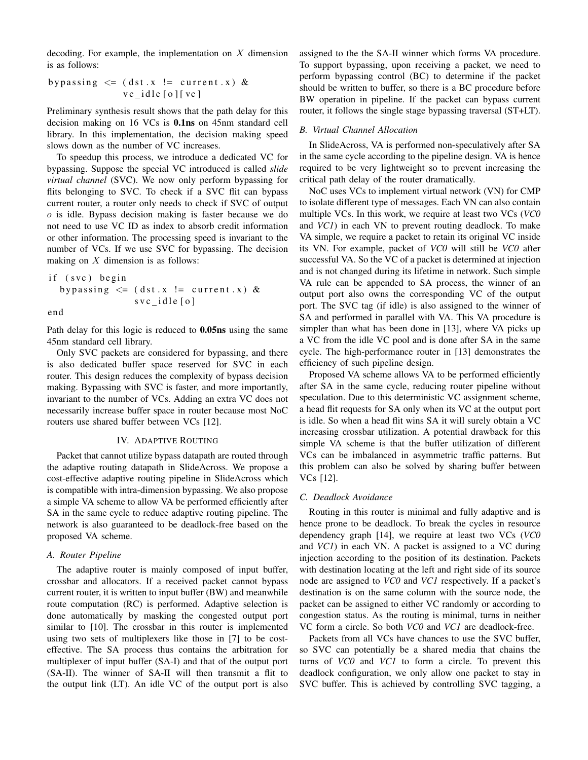decoding. For example, the implementation on  $X$  dimension is as follows:

```
by passing \leq (dst.x != current.x) &
               vc\_idle[ o ][ vc ]
```
Preliminary synthesis result shows that the path delay for this decision making on 16 VCs is 0.1ns on 45nm standard cell library. In this implementation, the decision making speed slows down as the number of VC increases.

To speedup this process, we introduce a dedicated VC for bypassing. Suppose the special VC introduced is called *slide virtual channel* (SVC). We now only perform bypassing for flits belonging to SVC. To check if a SVC flit can bypass current router, a router only needs to check if SVC of output o is idle. Bypass decision making is faster because we do not need to use VC ID as index to absorb credit information or other information. The processing speed is invariant to the number of VCs. If we use SVC for bypassing. The decision making on  $X$  dimension is as follows:

```
if (svc) begin
  by passing \leq (dst.x != current.x) &
                  svc\_idle[<sub>0</sub>]
```
end

Path delay for this logic is reduced to 0.05ns using the same 45nm standard cell library.

Only SVC packets are considered for bypassing, and there is also dedicated buffer space reserved for SVC in each router. This design reduces the complexity of bypass decision making. Bypassing with SVC is faster, and more importantly, invariant to the number of VCs. Adding an extra VC does not necessarily increase buffer space in router because most NoC routers use shared buffer between VCs [12].

## IV. ADAPTIVE ROUTING

Packet that cannot utilize bypass datapath are routed through the adaptive routing datapath in SlideAcross. We propose a cost-effective adaptive routing pipeline in SlideAcross which is compatible with intra-dimension bypassing. We also propose a simple VA scheme to allow VA be performed efficiently after SA in the same cycle to reduce adaptive routing pipeline. The network is also guaranteed to be deadlock-free based on the proposed VA scheme.

## *A. Router Pipeline*

The adaptive router is mainly composed of input buffer, crossbar and allocators. If a received packet cannot bypass current router, it is written to input buffer (BW) and meanwhile route computation (RC) is performed. Adaptive selection is done automatically by masking the congested output port similar to [10]. The crossbar in this router is implemented using two sets of multiplexers like those in [7] to be costeffective. The SA process thus contains the arbitration for multiplexer of input buffer (SA-I) and that of the output port (SA-II). The winner of SA-II will then transmit a flit to the output link (LT). An idle VC of the output port is also assigned to the the SA-II winner which forms VA procedure. To support bypassing, upon receiving a packet, we need to perform bypassing control (BC) to determine if the packet should be written to buffer, so there is a BC procedure before BW operation in pipeline. If the packet can bypass current router, it follows the single stage bypassing traversal (ST+LT).

## *B. Virtual Channel Allocation*

In SlideAcross, VA is performed non-speculatively after SA in the same cycle according to the pipeline design. VA is hence required to be very lightweight so to prevent increasing the critical path delay of the router dramatically.

NoC uses VCs to implement virtual network (VN) for CMP to isolate different type of messages. Each VN can also contain multiple VCs. In this work, we require at least two VCs (*VC0* and *VC1*) in each VN to prevent routing deadlock. To make VA simple, we require a packet to retain its original VC inside its VN. For example, packet of *VC0* will still be *VC0* after successful VA. So the VC of a packet is determined at injection and is not changed during its lifetime in network. Such simple VA rule can be appended to SA process, the winner of an output port also owns the corresponding VC of the output port. The SVC tag (if idle) is also assigned to the winner of SA and performed in parallel with VA. This VA procedure is simpler than what has been done in [13], where VA picks up a VC from the idle VC pool and is done after SA in the same cycle. The high-performance router in [13] demonstrates the efficiency of such pipeline design.

Proposed VA scheme allows VA to be performed efficiently after SA in the same cycle, reducing router pipeline without speculation. Due to this deterministic VC assignment scheme, a head flit requests for SA only when its VC at the output port is idle. So when a head flit wins SA it will surely obtain a VC increasing crossbar utilization. A potential drawback for this simple VA scheme is that the buffer utilization of different VCs can be imbalanced in asymmetric traffic patterns. But this problem can also be solved by sharing buffer between VCs [12].

## *C. Deadlock Avoidance*

Routing in this router is minimal and fully adaptive and is hence prone to be deadlock. To break the cycles in resource dependency graph [14], we require at least two VCs (*VC0* and *VC1*) in each VN. A packet is assigned to a VC during injection according to the position of its destination. Packets with destination locating at the left and right side of its source node are assigned to *VC0* and *VC1* respectively. If a packet's destination is on the same column with the source node, the packet can be assigned to either VC randomly or according to congestion status. As the routing is minimal, turns in neither VC form a circle. So both *VC0* and *VC1* are deadlock-free.

Packets from all VCs have chances to use the SVC buffer, so SVC can potentially be a shared media that chains the turns of *VC0* and *VC1* to form a circle. To prevent this deadlock configuration, we only allow one packet to stay in SVC buffer. This is achieved by controlling SVC tagging, a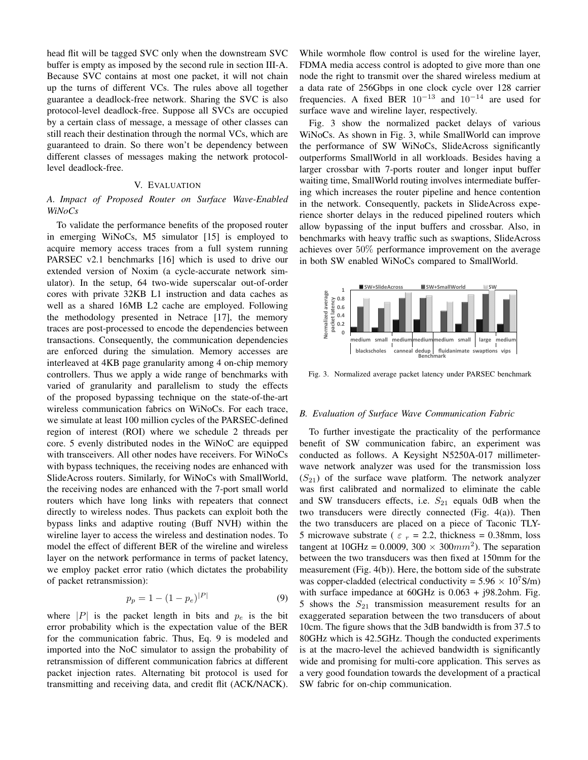head flit will be tagged SVC only when the downstream SVC buffer is empty as imposed by the second rule in section III-A. Because SVC contains at most one packet, it will not chain up the turns of different VCs. The rules above all together guarantee a deadlock-free network. Sharing the SVC is also protocol-level deadlock-free. Suppose all SVCs are occupied by a certain class of message, a message of other classes can still reach their destination through the normal VCs, which are guaranteed to drain. So there won't be dependency between different classes of messages making the network protocollevel deadlock-free.

## V. EVALUATION

## *A. Impact of Proposed Router on Surface Wave-Enabled WiNoCs*

To validate the performance benefits of the proposed router in emerging WiNoCs, M5 simulator [15] is employed to acquire memory access traces from a full system running PARSEC v2.1 benchmarks [16] which is used to drive our extended version of Noxim (a cycle-accurate network simulator). In the setup, 64 two-wide superscalar out-of-order cores with private 32KB L1 instruction and data caches as well as a shared 16MB L2 cache are employed. Following the methodology presented in Netrace [17], the memory traces are post-processed to encode the dependencies between transactions. Consequently, the communication dependencies are enforced during the simulation. Memory accesses are interleaved at 4KB page granularity among 4 on-chip memory controllers. Thus we apply a wide range of benchmarks with varied of granularity and parallelism to study the effects of the proposed bypassing technique on the state-of-the-art wireless communication fabrics on WiNoCs. For each trace, we simulate at least 100 million cycles of the PARSEC-defined region of interest (ROI) where we schedule 2 threads per core. 5 evenly distributed nodes in the WiNoC are equipped with transceivers. All other nodes have receivers. For WiNoCs with bypass techniques, the receiving nodes are enhanced with SlideAcross routers. Similarly, for WiNoCs with SmallWorld, the receiving nodes are enhanced with the 7-port small world routers which have long links with repeaters that connect directly to wireless nodes. Thus packets can exploit both the bypass links and adaptive routing (Buff NVH) within the wireline layer to access the wireless and destination nodes. To model the effect of different BER of the wireline and wireless layer on the network performance in terms of packet latency, we employ packet error ratio (which dictates the probability of packet retransmission):

$$
p_p = 1 - (1 - p_e)^{|P|} \tag{9}
$$

where  $|P|$  is the packet length in bits and  $p_e$  is the bit error probability which is the expectation value of the BER for the communication fabric. Thus, Eq. 9 is modeled and imported into the NoC simulator to assign the probability of retransmission of different communication fabrics at different packet injection rates. Alternating bit protocol is used for transmitting and receiving data, and credit flit (ACK/NACK).

While wormhole flow control is used for the wireline layer, FDMA media access control is adopted to give more than one node the right to transmit over the shared wireless medium at a data rate of 256Gbps in one clock cycle over 128 carrier frequencies. A fixed BER  $10^{-13}$  and  $10^{-14}$  are used for surface wave and wireline layer, respectively.

Fig. 3 show the normalized packet delays of various WiNoCs. As shown in Fig. 3, while SmallWorld can improve the performance of SW WiNoCs, SlideAcross significantly outperforms SmallWorld in all workloads. Besides having a larger crossbar with 7-ports router and longer input buffer waiting time, SmallWorld routing involves intermediate buffering which increases the router pipeline and hence contention in the network. Consequently, packets in SlideAcross experience shorter delays in the reduced pipelined routers which allow bypassing of the input buffers and crossbar. Also, in benchmarks with heavy traffic such as swaptions, SlideAcross achieves over 50% performance improvement on the average in both SW enabled WiNoCs compared to SmallWorld.



Fig. 3. Normalized average packet latency under PARSEC benchmark

## *B. Evaluation of Surface Wave Communication Fabric*

To further investigate the practicality of the performance benefit of SW communication fabirc, an experiment was conducted as follows. A Keysight N5250A-017 millimeterwave network analyzer was used for the transmission loss  $(S_{21})$  of the surface wave platform. The network analyzer was first calibrated and normalized to eliminate the cable and SW transducers effects, i.e.  $S_{21}$  equals 0dB when the two transducers were directly connected (Fig. 4(a)). Then the two transducers are placed on a piece of Taconic TLY-5 microwave substrate (  $\varepsilon_r = 2.2$ , thickness = 0.38mm, loss tangent at 10GHz = 0.0009, 300  $\times$  300 $mm^2$ ). The separation between the two transducers was then fixed at 150mm for the measurement (Fig. 4(b)). Here, the bottom side of the substrate was copper-cladded (electrical conductivity =  $5.96 \times 10^7$ S/m) with surface impedance at  $60\text{GHz}$  is  $0.063 + j98.2\text{ohm}$ . Fig. 5 shows the  $S_{21}$  transmission measurement results for an exaggerated separation between the two transducers of about 10cm. The figure shows that the 3dB bandwidth is from 37.5 to 80GHz which is 42.5GHz. Though the conducted experiments is at the macro-level the achieved bandwidth is significantly wide and promising for multi-core application. This serves as a very good foundation towards the development of a practical SW fabric for on-chip communication.